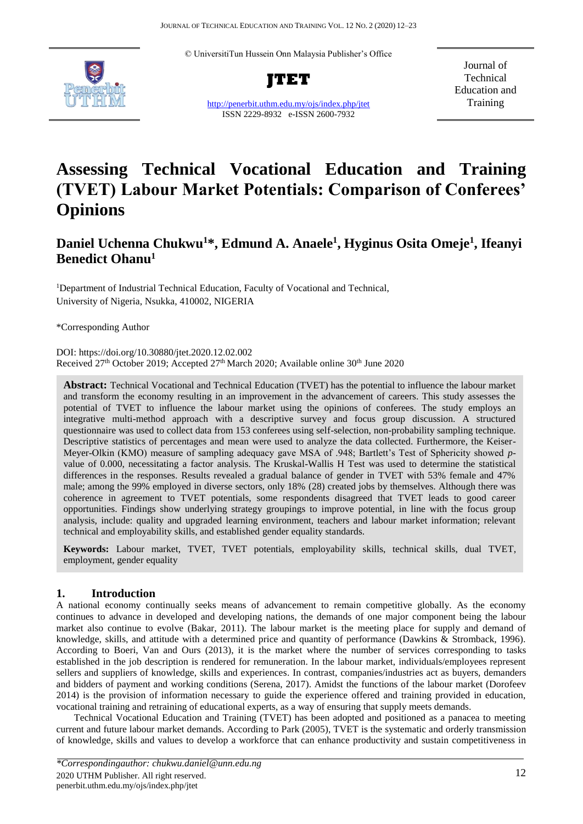© UniversitiTun Hussein Onn Malaysia Publisher's Office



**JTET**

<http://penerbit.uthm.edu.my/ojs/index.php/jtet> ISSN 2229-8932 e-ISSN 2600-7932

Journal of Technical Education and **Training** 

# **Assessing Technical Vocational Education and Training (TVET) Labour Market Potentials: Comparison of Conferees' Opinions**

## **Daniel Uchenna Chukwu<sup>1</sup>\*, Edmund A. Anaele<sup>1</sup> , Hyginus Osita Omeje<sup>1</sup> , Ifeanyi Benedict Ohanu<sup>1</sup>**

<sup>1</sup>Department of Industrial Technical Education, Faculty of Vocational and Technical, University of Nigeria, Nsukka, 410002, NIGERIA

\*Corresponding Author

DOI: https://doi.org/10.30880/jtet.2020.12.02.002 Received 27<sup>th</sup> October 2019; Accepted 27<sup>th</sup> March 2020; Available online 30<sup>th</sup> June 2020

**Abstract:** Technical Vocational and Technical Education (TVET) has the potential to influence the labour market and transform the economy resulting in an improvement in the advancement of careers. This study assesses the potential of TVET to influence the labour market using the opinions of conferees. The study employs an integrative multi-method approach with a descriptive survey and focus group discussion. A structured questionnaire was used to collect data from 153 conferees using self-selection, non-probability sampling technique. Descriptive statistics of percentages and mean were used to analyze the data collected. Furthermore, the Keiser-Meyer-Olkin (KMO) measure of sampling adequacy gave MSA of .948; Bartlett's Test of Sphericity showed *p*value of 0.000, necessitating a factor analysis. The Kruskal-Wallis H Test was used to determine the statistical differences in the responses. Results revealed a gradual balance of gender in TVET with 53% female and 47% male; among the 99% employed in diverse sectors, only 18% (28) created jobs by themselves. Although there was coherence in agreement to TVET potentials, some respondents disagreed that TVET leads to good career opportunities. Findings show underlying strategy groupings to improve potential, in line with the focus group analysis, include: quality and upgraded learning environment, teachers and labour market information; relevant technical and employability skills, and established gender equality standards.

**Keywords:** Labour market, TVET, TVET potentials, employability skills, technical skills, dual TVET, employment, gender equality

### **1. Introduction**

A national economy continually seeks means of advancement to remain competitive globally. As the economy continues to advance in developed and developing nations, the demands of one major component being the labour market also continue to evolve (Bakar, 2011). The labour market is the meeting place for supply and demand of knowledge, skills, and attitude with a determined price and quantity of performance (Dawkins & Stromback, 1996). According to Boeri, Van and Ours (2013), it is the market where the number of services corresponding to tasks established in the job description is rendered for remuneration. In the labour market, individuals/employees represent sellers and suppliers of knowledge, skills and experiences. In contrast, companies/industries act as buyers, demanders and bidders of payment and working conditions (Serena, 2017). Amidst the functions of the labour market (Dorofeev 2014) is the provision of information necessary to guide the experience offered and training provided in education, vocational training and retraining of educational experts, as a way of ensuring that supply meets demands.

Technical Vocational Education and Training (TVET) has been adopted and positioned as a panacea to meeting current and future labour market demands. According to Park (2005), TVET is the systematic and orderly transmission of knowledge, skills and values to develop a workforce that can enhance productivity and sustain competitiveness in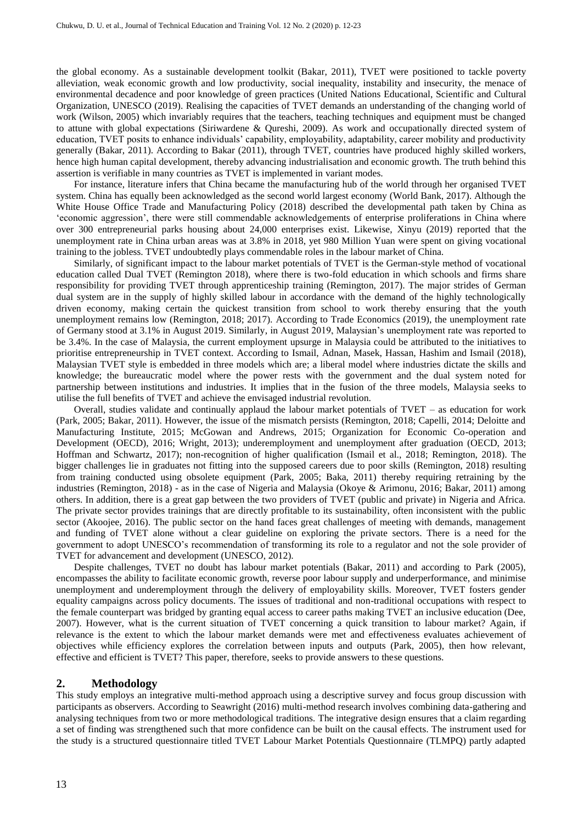the global economy. As a sustainable development toolkit (Bakar, 2011), TVET were positioned to tackle poverty alleviation, weak economic growth and low productivity, social inequality, instability and insecurity, the menace of environmental decadence and poor knowledge of green practices (United Nations Educational, Scientific and Cultural Organization, UNESCO (2019). Realising the capacities of TVET demands an understanding of the changing world of work (Wilson, 2005) which invariably requires that the teachers, teaching techniques and equipment must be changed to attune with global expectations (Siriwardene & Qureshi, 2009). As work and occupationally directed system of education, TVET posits to enhance individuals' capability, employability, adaptability, career mobility and productivity generally (Bakar, 2011). According to Bakar (2011), through TVET, countries have produced highly skilled workers, hence high human capital development, thereby advancing industrialisation and economic growth. The truth behind this assertion is verifiable in many countries as TVET is implemented in variant modes.

For instance, literature infers that China became the manufacturing hub of the world through her organised TVET system. China has equally been acknowledged as the second world largest economy (World Bank, 2017). Although the White House Office Trade and Manufacturing Policy (2018) described the developmental path taken by China as 'economic aggression', there were still commendable acknowledgements of enterprise proliferations in China where over 300 entrepreneurial parks housing about 24,000 enterprises exist. Likewise, Xinyu (2019) reported that the unemployment rate in China urban areas was at 3.8% in 2018, yet 980 Million Yuan were spent on giving vocational training to the jobless. TVET undoubtedly plays commendable roles in the labour market of China.

Similarly, of significant impact to the labour market potentials of TVET is the German-style method of vocational education called Dual TVET (Remington 2018), where there is two-fold education in which schools and firms share responsibility for providing TVET through apprenticeship training (Remington, 2017). The major strides of German dual system are in the supply of highly skilled labour in accordance with the demand of the highly technologically driven economy, making certain the quickest transition from school to work thereby ensuring that the youth unemployment remains low (Remington, 2018; 2017). According to Trade Economics (2019), the unemployment rate of Germany stood at 3.1% in August 2019. Similarly, in August 2019, Malaysian's unemployment rate was reported to be 3.4%. In the case of Malaysia, the current employment upsurge in Malaysia could be attributed to the initiatives to prioritise entrepreneurship in TVET context. According to Ismail, Adnan, Masek, Hassan, Hashim and Ismail (2018), Malaysian TVET style is embedded in three models which are; a liberal model where industries dictate the skills and knowledge; the bureaucratic model where the power rests with the government and the dual system noted for partnership between institutions and industries. It implies that in the fusion of the three models, Malaysia seeks to utilise the full benefits of TVET and achieve the envisaged industrial revolution.

Overall, studies validate and continually applaud the labour market potentials of TVET – as education for work (Park, 2005; Bakar, 2011). However, the issue of the mismatch persists (Remington, 2018; Capelli, 2014; Deloitte and Manufacturing Institute, 2015; McGowan and Andrews, 2015; Organization for Economic Co-operation and Development (OECD), 2016; Wright, 2013); underemployment and unemployment after graduation (OECD, 2013; Hoffman and Schwartz, 2017); non-recognition of higher qualification (Ismail et al., 2018; Remington, 2018). The bigger challenges lie in graduates not fitting into the supposed careers due to poor skills (Remington, 2018) resulting from training conducted using obsolete equipment (Park, 2005; Baka, 2011) thereby requiring retraining by the industries (Remington, 2018) - as in the case of Nigeria and Malaysia (Okoye & Arimonu, 2016; Bakar, 2011) among others. In addition, there is a great gap between the two providers of TVET (public and private) in Nigeria and Africa. The private sector provides trainings that are directly profitable to its sustainability, often inconsistent with the public sector (Akoojee, 2016). The public sector on the hand faces great challenges of meeting with demands, management and funding of TVET alone without a clear guideline on exploring the private sectors. There is a need for the government to adopt UNESCO's recommendation of transforming its role to a regulator and not the sole provider of TVET for advancement and development (UNESCO, 2012).

Despite challenges, TVET no doubt has labour market potentials (Bakar, 2011) and according to Park (2005), encompasses the ability to facilitate economic growth, reverse poor labour supply and underperformance, and minimise unemployment and underemployment through the delivery of employability skills. Moreover, TVET fosters gender equality campaigns across policy documents. The issues of traditional and non-traditional occupations with respect to the female counterpart was bridged by granting equal access to career paths making TVET an inclusive education (Dee, 2007). However, what is the current situation of TVET concerning a quick transition to labour market? Again, if relevance is the extent to which the labour market demands were met and effectiveness evaluates achievement of objectives while efficiency explores the correlation between inputs and outputs (Park, 2005), then how relevant, effective and efficient is TVET? This paper, therefore, seeks to provide answers to these questions.

#### **2. Methodology**

This study employs an integrative multi-method approach using a descriptive survey and focus group discussion with participants as observers. According to Seawright (2016) multi-method research involves combining data-gathering and analysing techniques from two or more methodological traditions. The integrative design ensures that a claim regarding a set of finding was strengthened such that more confidence can be built on the causal effects. The instrument used for the study is a structured questionnaire titled TVET Labour Market Potentials Questionnaire (TLMPQ) partly adapted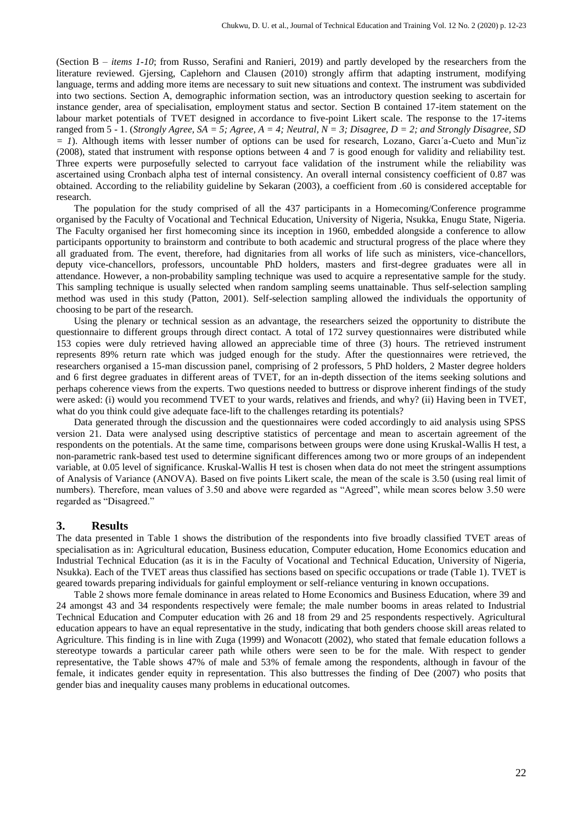(Section B – *items 1-10*; from Russo, Serafini and Ranieri, 2019) and partly developed by the researchers from the literature reviewed. Gjersing, Caplehorn and Clausen (2010) strongly affirm that adapting instrument, modifying language, terms and adding more items are necessary to suit new situations and context. The instrument was subdivided into two sections. Section A, demographic information section, was an introductory question seeking to ascertain for instance gender, area of specialisation, employment status and sector. Section B contained 17-item statement on the labour market potentials of TVET designed in accordance to five-point Likert scale. The response to the 17-items ranged from 5 - 1. (*Strongly Agree, SA = 5; Agree, A = 4; Neutral, N = 3; Disagree, D = 2; and Strongly Disagree, SD = 1*). Although items with lesser number of options can be used for research, Lozano, Garcı´a-Cueto and Mun˜iz (2008), stated that instrument with response options between 4 and 7 is good enough for validity and reliability test. Three experts were purposefully selected to carryout face validation of the instrument while the reliability was ascertained using Cronbach alpha test of internal consistency. An overall internal consistency coefficient of 0.87 was obtained. According to the reliability guideline by Sekaran (2003), a coefficient from .60 is considered acceptable for research.

The population for the study comprised of all the 437 participants in a Homecoming/Conference programme organised by the Faculty of Vocational and Technical Education, University of Nigeria, Nsukka, Enugu State, Nigeria. The Faculty organised her first homecoming since its inception in 1960, embedded alongside a conference to allow participants opportunity to brainstorm and contribute to both academic and structural progress of the place where they all graduated from. The event, therefore, had dignitaries from all works of life such as ministers, vice-chancellors, deputy vice-chancellors, professors, uncountable PhD holders, masters and first-degree graduates were all in attendance. However, a non-probability sampling technique was used to acquire a representative sample for the study. This sampling technique is usually selected when random sampling seems unattainable. Thus self-selection sampling method was used in this study (Patton, 2001). Self-selection sampling allowed the individuals the opportunity of choosing to be part of the research.

Using the plenary or technical session as an advantage, the researchers seized the opportunity to distribute the questionnaire to different groups through direct contact. A total of 172 survey questionnaires were distributed while 153 copies were duly retrieved having allowed an appreciable time of three (3) hours. The retrieved instrument represents 89% return rate which was judged enough for the study. After the questionnaires were retrieved, the researchers organised a 15-man discussion panel, comprising of 2 professors, 5 PhD holders, 2 Master degree holders and 6 first degree graduates in different areas of TVET, for an in-depth dissection of the items seeking solutions and perhaps coherence views from the experts. Two questions needed to buttress or disprove inherent findings of the study were asked: (i) would you recommend TVET to your wards, relatives and friends, and why? (ii) Having been in TVET, what do you think could give adequate face-lift to the challenges retarding its potentials?

Data generated through the discussion and the questionnaires were coded accordingly to aid analysis using SPSS version 21. Data were analysed using descriptive statistics of percentage and mean to ascertain agreement of the respondents on the potentials. At the same time, comparisons between groups were done using Kruskal-Wallis H test, a non-parametric rank-based test used to determine significant differences among two or more groups of an independent variable, at 0.05 level of significance. Kruskal-Wallis H test is chosen when data do not meet the stringent assumptions of Analysis of Variance (ANOVA). Based on five points Likert scale, the mean of the scale is 3.50 (using real limit of numbers). Therefore, mean values of 3.50 and above were regarded as "Agreed", while mean scores below 3.50 were regarded as "Disagreed."

#### **3. Results**

The data presented in Table 1 shows the distribution of the respondents into five broadly classified TVET areas of specialisation as in: Agricultural education, Business education, Computer education, Home Economics education and Industrial Technical Education (as it is in the Faculty of Vocational and Technical Education, University of Nigeria, Nsukka). Each of the TVET areas thus classified has sections based on specific occupations or trade (Table 1). TVET is geared towards preparing individuals for gainful employment or self-reliance venturing in known occupations.

Table 2 shows more female dominance in areas related to Home Economics and Business Education, where 39 and 24 amongst 43 and 34 respondents respectively were female; the male number booms in areas related to Industrial Technical Education and Computer education with 26 and 18 from 29 and 25 respondents respectively. Agricultural education appears to have an equal representative in the study, indicating that both genders choose skill areas related to Agriculture. This finding is in line with Zuga (1999) and Wonacott (2002), who stated that female education follows a stereotype towards a particular career path while others were seen to be for the male. With respect to gender representative, the Table shows 47% of male and 53% of female among the respondents, although in favour of the female, it indicates gender equity in representation. This also buttresses the finding of Dee (2007) who posits that gender bias and inequality causes many problems in educational outcomes.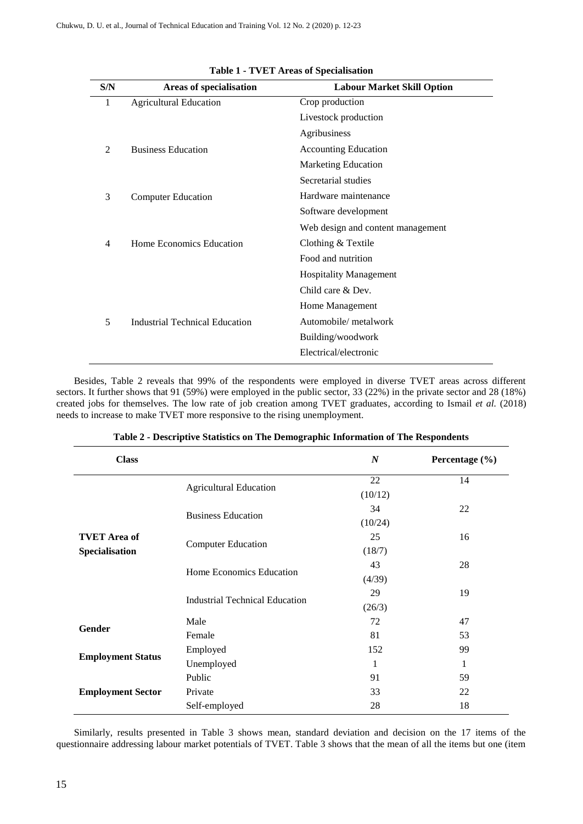| S/N | <b>Areas of specialisation</b>        | <b>Labour Market Skill Option</b> |
|-----|---------------------------------------|-----------------------------------|
| 1   | <b>Agricultural Education</b>         | Crop production                   |
|     |                                       | Livestock production              |
|     |                                       | Agribusiness                      |
| 2   | <b>Business Education</b>             | <b>Accounting Education</b>       |
|     |                                       | <b>Marketing Education</b>        |
|     |                                       | Secretarial studies               |
| 3   | <b>Computer Education</b>             | Hardware maintenance              |
|     |                                       | Software development              |
|     |                                       | Web design and content management |
| 4   | Home Economics Education              | Clothing & Textile                |
|     |                                       | Food and nutrition                |
|     |                                       | <b>Hospitality Management</b>     |
|     |                                       | Child care & Dev.                 |
|     |                                       | Home Management                   |
| 5   | <b>Industrial Technical Education</b> | Automobile/ metalwork             |
|     |                                       | Building/woodwork                 |
|     |                                       | Electrical/electronic             |

| Table 1 - TVET Areas of Specialisation |  |  |
|----------------------------------------|--|--|
|----------------------------------------|--|--|

Besides, Table 2 reveals that 99% of the respondents were employed in diverse TVET areas across different sectors. It further shows that 91 (59%) were employed in the public sector, 33 (22%) in the private sector and 28 (18%) created jobs for themselves. The low rate of job creation among TVET graduates, according to Ismail *et al.* (2018) needs to increase to make TVET more responsive to the rising unemployment.

| <b>Class</b>             |                                | $\boldsymbol{N}$ | Percentage $(\% )$ |
|--------------------------|--------------------------------|------------------|--------------------|
|                          |                                | 22               | 14                 |
|                          | <b>Agricultural Education</b>  | (10/12)          |                    |
|                          |                                | 34               | 22                 |
|                          | <b>Business Education</b>      | (10/24)          |                    |
| <b>TVET</b> Area of      |                                | 25               | 16                 |
| Specialisation           | <b>Computer Education</b>      | (18/7)           |                    |
|                          |                                | 43               | 28                 |
|                          | Home Economics Education       | (4/39)           |                    |
|                          | Industrial Technical Education | 29               | 19                 |
|                          |                                | (26/3)           |                    |
|                          | Male                           | 72               | 47                 |
| Gender                   | Female                         | 81               | 53                 |
|                          | Employed                       | 152              | 99                 |
| <b>Employment Status</b> | Unemployed                     | 1                | 1                  |
|                          | Public                         | 91               | 59                 |
| <b>Employment Sector</b> | Private                        | 33               | 22                 |
|                          | Self-employed                  | 28               | 18                 |

|  | Table 2 - Descriptive Statistics on The Demographic Information of The Respondents |  |  |  |  |
|--|------------------------------------------------------------------------------------|--|--|--|--|
|  |                                                                                    |  |  |  |  |

Similarly, results presented in Table 3 shows mean, standard deviation and decision on the 17 items of the questionnaire addressing labour market potentials of TVET. Table 3 shows that the mean of all the items but one (item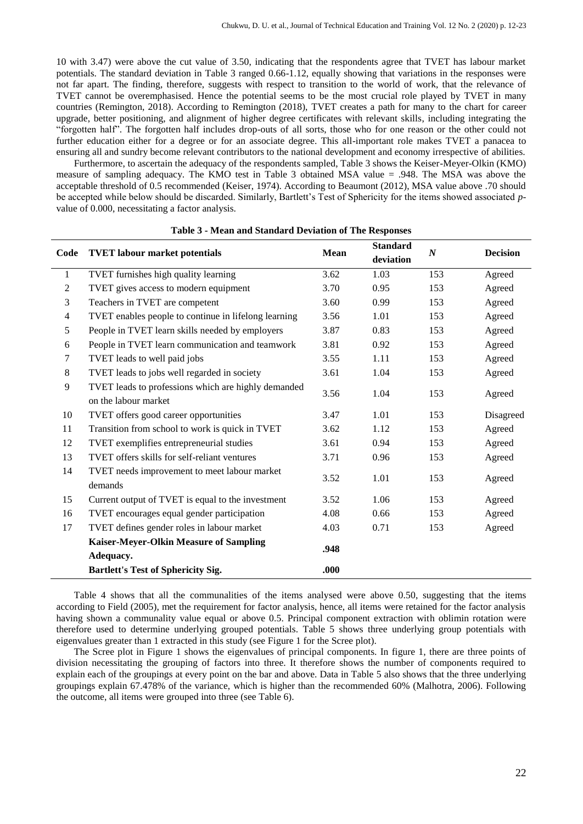10 with 3.47) were above the cut value of 3.50, indicating that the respondents agree that TVET has labour market potentials. The standard deviation in Table 3 ranged 0.66-1.12, equally showing that variations in the responses were not far apart. The finding, therefore, suggests with respect to transition to the world of work, that the relevance of TVET cannot be overemphasised. Hence the potential seems to be the most crucial role played by TVET in many countries (Remington, 2018). According to Remington (2018), TVET creates a path for many to the chart for career upgrade, better positioning, and alignment of higher degree certificates with relevant skills, including integrating the "forgotten half". The forgotten half includes drop-outs of all sorts, those who for one reason or the other could not further education either for a degree or for an associate degree. This all-important role makes TVET a panacea to ensuring all and sundry become relevant contributors to the national development and economy irrespective of abilities.

Furthermore, to ascertain the adequacy of the respondents sampled, Table 3 shows the Keiser-Meyer-Olkin (KMO) measure of sampling adequacy. The KMO test in Table 3 obtained MSA value = .948. The MSA was above the acceptable threshold of 0.5 recommended (Keiser, 1974). According to Beaumont (2012), MSA value above .70 should be accepted while below should be discarded. Similarly, Bartlett's Test of Sphericity for the items showed associated *p*value of 0.000, necessitating a factor analysis.

| Code           | <b>TVET</b> labour market potentials                                        | Mean | <b>Standard</b><br>deviation | $\boldsymbol{N}$ | <b>Decision</b> |
|----------------|-----------------------------------------------------------------------------|------|------------------------------|------------------|-----------------|
| 1              | TVET furnishes high quality learning                                        | 3.62 | 1.03                         | 153              | Agreed          |
| $\overline{c}$ | TVET gives access to modern equipment                                       |      | 0.95                         | 153              | Agreed          |
| 3              | Teachers in TVET are competent                                              | 3.60 | 0.99                         | 153              | Agreed          |
| $\overline{4}$ | TVET enables people to continue in lifelong learning                        | 3.56 | 1.01                         | 153              | Agreed          |
| 5              | People in TVET learn skills needed by employers                             | 3.87 | 0.83                         | 153              | Agreed          |
| 6              | People in TVET learn communication and teamwork                             | 3.81 | 0.92                         | 153              | Agreed          |
| 7              | TVET leads to well paid jobs                                                | 3.55 | 1.11                         | 153              | Agreed          |
| $\,8\,$        | TVET leads to jobs well regarded in society                                 | 3.61 | 1.04                         | 153              | Agreed          |
| 9              | TVET leads to professions which are highly demanded<br>on the labour market | 3.56 | 1.04                         | 153              | Agreed          |
| 10             | TVET offers good career opportunities                                       | 3.47 | 1.01                         | 153              | Disagreed       |
| 11             | Transition from school to work is quick in TVET                             | 3.62 | 1.12                         | 153              | Agreed          |
| 12             | TVET exemplifies entrepreneurial studies                                    | 3.61 | 0.94                         | 153              | Agreed          |
| 13             | TVET offers skills for self-reliant ventures                                | 3.71 | 0.96                         | 153              | Agreed          |
| 14             | TVET needs improvement to meet labour market<br>demands                     | 3.52 | 1.01                         | 153              | Agreed          |
| 15             | Current output of TVET is equal to the investment                           | 3.52 | 1.06                         | 153              | Agreed          |
| 16             | TVET encourages equal gender participation                                  | 4.08 | 0.66                         | 153              | Agreed          |
| 17             | TVET defines gender roles in labour market                                  | 4.03 | 0.71                         | 153              | Agreed          |
|                | Kaiser-Meyer-Olkin Measure of Sampling<br>Adequacy.                         | .948 |                              |                  |                 |
|                | Bartlett's Test of Sphericity Sig.                                          | .000 |                              |                  |                 |

|  | Table 3 - Mean and Standard Deviation of The Responses |  |
|--|--------------------------------------------------------|--|
|  |                                                        |  |

Table 4 shows that all the communalities of the items analysed were above 0.50, suggesting that the items according to Field (2005), met the requirement for factor analysis, hence, all items were retained for the factor analysis having shown a communality value equal or above 0.5. Principal component extraction with oblimin rotation were therefore used to determine underlying grouped potentials. Table 5 shows three underlying group potentials with eigenvalues greater than 1 extracted in this study (see Figure 1 for the Scree plot).

The Scree plot in Figure 1 shows the eigenvalues of principal components. In figure 1, there are three points of division necessitating the grouping of factors into three. It therefore shows the number of components required to explain each of the groupings at every point on the bar and above. Data in Table 5 also shows that the three underlying groupings explain 67.478% of the variance, which is higher than the recommended 60% (Malhotra, 2006). Following the outcome, all items were grouped into three (see Table 6).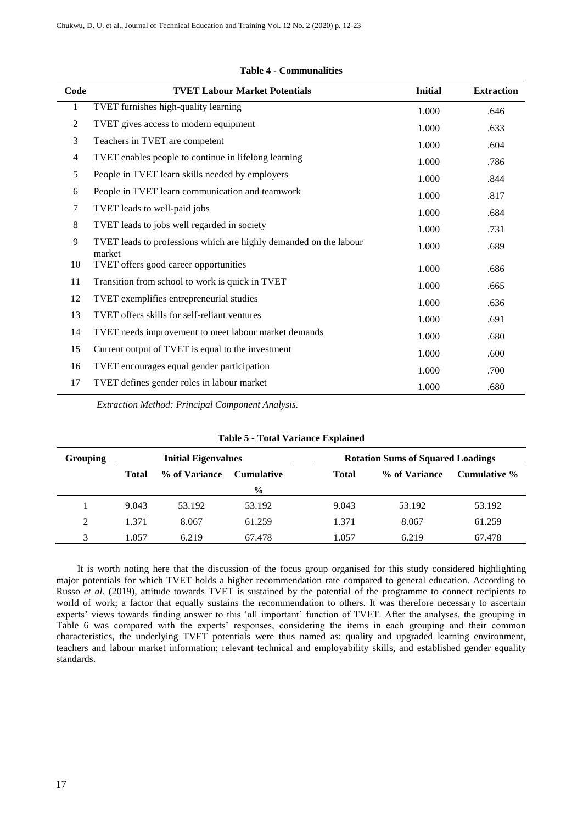| Code           | <b>TVET Labour Market Potentials</b>                                        | <b>Initial</b> | <b>Extraction</b> |
|----------------|-----------------------------------------------------------------------------|----------------|-------------------|
| $\mathbf{1}$   | TVET furnishes high-quality learning                                        | 1.000          | .646              |
| $\overline{2}$ | TVET gives access to modern equipment                                       | 1.000          | .633              |
| 3              | Teachers in TVET are competent                                              | 1.000          | .604              |
| $\overline{4}$ | TVET enables people to continue in lifelong learning                        | 1.000          | .786              |
| 5              | People in TVET learn skills needed by employers                             | 1.000          | .844              |
| 6              | People in TVET learn communication and teamwork                             | 1.000          | .817              |
| $\tau$         | TVET leads to well-paid jobs                                                | 1.000          | .684              |
| 8              | TVET leads to jobs well regarded in society                                 | 1.000          | .731              |
| 9              | TVET leads to professions which are highly demanded on the labour<br>market | 1.000          | .689              |
| 10             | TVET offers good career opportunities                                       | 1.000          | .686              |
| 11             | Transition from school to work is quick in TVET                             | 1.000          | .665              |
| 12             | TVET exemplifies entrepreneurial studies                                    | 1.000          | .636              |
| 13             | TVET offers skills for self-reliant ventures                                | 1.000          | .691              |
| 14             | TVET needs improvement to meet labour market demands                        | 1.000          | .680              |
| 15             | Current output of TVET is equal to the investment                           | 1.000          | .600              |
| 16             | TVET encourages equal gender participation                                  | 1.000          | .700              |
| 17             | TVET defines gender roles in labour market                                  | 1.000          | .680              |

#### **Table 4 - Communalities**

*Extraction Method: Principal Component Analysis.*

#### **Table 5 - Total Variance Explained**

| Grouping       | <b>Initial Eigenvalues</b> |               |                   | <b>Rotation Sums of Squared Loadings</b> |               |              |
|----------------|----------------------------|---------------|-------------------|------------------------------------------|---------------|--------------|
|                | <b>Total</b>               | % of Variance | <b>Cumulative</b> | <b>Total</b>                             | % of Variance | Cumulative % |
|                |                            |               | $\frac{0}{0}$     |                                          |               |              |
|                | 9.043                      | 53.192        | 53.192            | 9.043                                    | 53.192        | 53.192       |
| $\mathfrak{D}$ | 1.371                      | 8.067         | 61.259            | 1.371                                    | 8.067         | 61.259       |
|                | 1.057                      | 6.219         | 67.478            | 1.057                                    | 6.219         | 67.478       |

It is worth noting here that the discussion of the focus group organised for this study considered highlighting major potentials for which TVET holds a higher recommendation rate compared to general education. According to Russo *et al.* (2019), attitude towards TVET is sustained by the potential of the programme to connect recipients to world of work; a factor that equally sustains the recommendation to others. It was therefore necessary to ascertain experts' views towards finding answer to this 'all important' function of TVET. After the analyses, the grouping in Table 6 was compared with the experts' responses, considering the items in each grouping and their common characteristics, the underlying TVET potentials were thus named as: quality and upgraded learning environment, teachers and labour market information; relevant technical and employability skills, and established gender equality standards.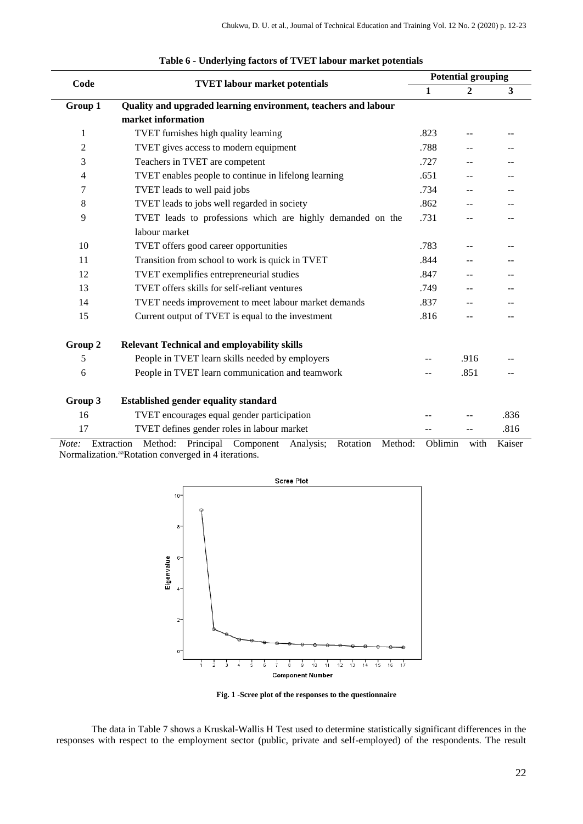| Code    | <b>TVET</b> labour market potentials                                          |              | <b>Potential grouping</b> |        |  |  |
|---------|-------------------------------------------------------------------------------|--------------|---------------------------|--------|--|--|
|         |                                                                               | $\mathbf{1}$ | $\mathbf{2}$              | 3      |  |  |
| Group 1 | Quality and upgraded learning environment, teachers and labour                |              |                           |        |  |  |
|         | market information                                                            |              |                           |        |  |  |
| 1       | TVET furnishes high quality learning                                          | .823         |                           |        |  |  |
| 2       | TVET gives access to modern equipment                                         | .788         |                           |        |  |  |
| 3       | Teachers in TVET are competent                                                | .727         |                           |        |  |  |
| 4       | TVET enables people to continue in lifelong learning                          | .651         | --                        |        |  |  |
| 7       | TVET leads to well paid jobs                                                  | .734         | --                        |        |  |  |
| 8       | TVET leads to jobs well regarded in society                                   | .862         |                           |        |  |  |
| 9       | TVET leads to professions which are highly demanded on the                    | .731         |                           |        |  |  |
|         | labour market                                                                 |              |                           |        |  |  |
| 10      | TVET offers good career opportunities                                         | .783         | $\overline{a}$            |        |  |  |
| 11      | Transition from school to work is quick in TVET                               | .844         |                           |        |  |  |
| 12      | TVET exemplifies entrepreneurial studies                                      | .847         |                           |        |  |  |
| 13      | TVET offers skills for self-reliant ventures                                  | .749         |                           |        |  |  |
| 14      | TVET needs improvement to meet labour market demands                          | .837         |                           |        |  |  |
| 15      | Current output of TVET is equal to the investment                             | .816         | --                        |        |  |  |
| Group 2 | <b>Relevant Technical and employability skills</b>                            |              |                           |        |  |  |
| 5       | People in TVET learn skills needed by employers                               |              | .916                      |        |  |  |
| 6       | People in TVET learn communication and teamwork                               |              | .851                      |        |  |  |
| Group 3 | <b>Established gender equality standard</b>                                   |              |                           |        |  |  |
| 16      | TVET encourages equal gender participation                                    |              |                           | .836   |  |  |
| 17      | TVET defines gender roles in labour market                                    |              |                           | .816   |  |  |
| Note:   | Principal Component Analysis;<br>Extraction<br>Method:<br>Rotation<br>Method: | Oblimin      | with                      | Kaiser |  |  |

Normalization.<sup>aa</sup>Rotation converged in 4 iterations.



**Fig. 1 -Scree plot of the responses to the questionnaire**

The data in Table 7 shows a Kruskal-Wallis H Test used to determine statistically significant differences in the responses with respect to the employment sector (public, private and self-employed) of the respondents. The result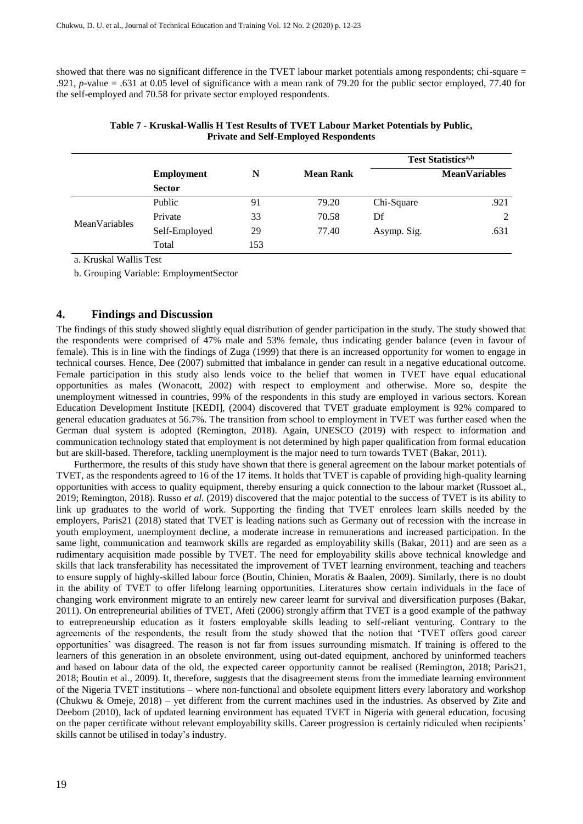showed that there was no significant difference in the TVET labour market potentials among respondents; chi-square  $=$ .921, *p-*value = .631 at 0.05 level of significance with a mean rank of 79.20 for the public sector employed, 77.40 for the self-employed and 70.58 for private sector employed respondents.

|                      |                   |     |                  | <b>Test Statistics</b> <sup>a,b</sup> |                      |  |
|----------------------|-------------------|-----|------------------|---------------------------------------|----------------------|--|
|                      | <b>Employment</b> | N   | <b>Mean Rank</b> |                                       | <b>MeanVariables</b> |  |
|                      | <b>Sector</b>     |     |                  |                                       |                      |  |
|                      | Public            | 91  | 79.20            | Chi-Square                            | .921                 |  |
| <b>MeanVariables</b> | Private           | 33  | 70.58            | Df                                    | 2                    |  |
|                      | Self-Employed     | 29  | 77.40            | Asymp. Sig.                           | .631                 |  |
|                      | Total             | 153 |                  |                                       |                      |  |

**Table 7 - Kruskal-Wallis H Test Results of TVET Labour Market Potentials by Public, Private and Self-Employed Respondents**

a. Kruskal Wallis Test

b. Grouping Variable: EmploymentSector

#### **4. Findings and Discussion**

The findings of this study showed slightly equal distribution of gender participation in the study. The study showed that the respondents were comprised of 47% male and 53% female, thus indicating gender balance (even in favour of female). This is in line with the findings of Zuga (1999) that there is an increased opportunity for women to engage in technical courses. Hence, Dee (2007) submitted that imbalance in gender can result in a negative educational outcome. Female participation in this study also lends voice to the belief that women in TVET have equal educational opportunities as males (Wonacott, 2002) with respect to employment and otherwise. More so, despite the unemployment witnessed in countries, 99% of the respondents in this study are employed in various sectors. Korean Education Development Institute [KEDI], (2004) discovered that TVET graduate employment is 92% compared to general education graduates at 56.7%. The transition from school to employment in TVET was further eased when the German dual system is adopted (Remington, 2018). Again, UNESCO (2019) with respect to information and communication technology stated that employment is not determined by high paper qualification from formal education but are skill-based. Therefore, tackling unemployment is the major need to turn towards TVET (Bakar, 2011).

Furthermore, the results of this study have shown that there is general agreement on the labour market potentials of TVET, as the respondents agreed to 16 of the 17 items. It holds that TVET is capable of providing high-quality learning opportunities with access to quality equipment, thereby ensuring a quick connection to the labour market (Russoet al*.,* 2019; Remington, 2018). Russo *et al.* (2019) discovered that the major potential to the success of TVET is its ability to link up graduates to the world of work. Supporting the finding that TVET enrolees learn skills needed by the employers, Paris21 (2018) stated that TVET is leading nations such as Germany out of recession with the increase in youth employment, unemployment decline, a moderate increase in remunerations and increased participation. In the same light, communication and teamwork skills are regarded as employability skills (Bakar, 2011) and are seen as a rudimentary acquisition made possible by TVET. The need for employability skills above technical knowledge and skills that lack transferability has necessitated the improvement of TVET learning environment, teaching and teachers to ensure supply of highly-skilled labour force (Boutin, Chinien, Moratis & Baalen, 2009). Similarly, there is no doubt in the ability of TVET to offer lifelong learning opportunities. Literatures show certain individuals in the face of changing work environment migrate to an entirely new career learnt for survival and diversification purposes (Bakar, 2011). On entrepreneurial abilities of TVET, Afeti (2006) strongly affirm that TVET is a good example of the pathway to entrepreneurship education as it fosters employable skills leading to self-reliant venturing. Contrary to the agreements of the respondents, the result from the study showed that the notion that 'TVET offers good career opportunities' was disagreed. The reason is not far from issues surrounding mismatch. If training is offered to the learners of this generation in an obsolete environment, using out-dated equipment, anchored by uninformed teachers and based on labour data of the old, the expected career opportunity cannot be realised (Remington, 2018; Paris21, 2018; Boutin et al., 2009). It, therefore, suggests that the disagreement stems from the immediate learning environment of the Nigeria TVET institutions – where non-functional and obsolete equipment litters every laboratory and workshop (Chukwu & Omeje, 2018) – yet different from the current machines used in the industries. As observed by Zite and Deebom (2010), lack of updated learning environment has equated TVET in Nigeria with general education, focusing on the paper certificate without relevant employability skills. Career progression is certainly ridiculed when recipients' skills cannot be utilised in today's industry.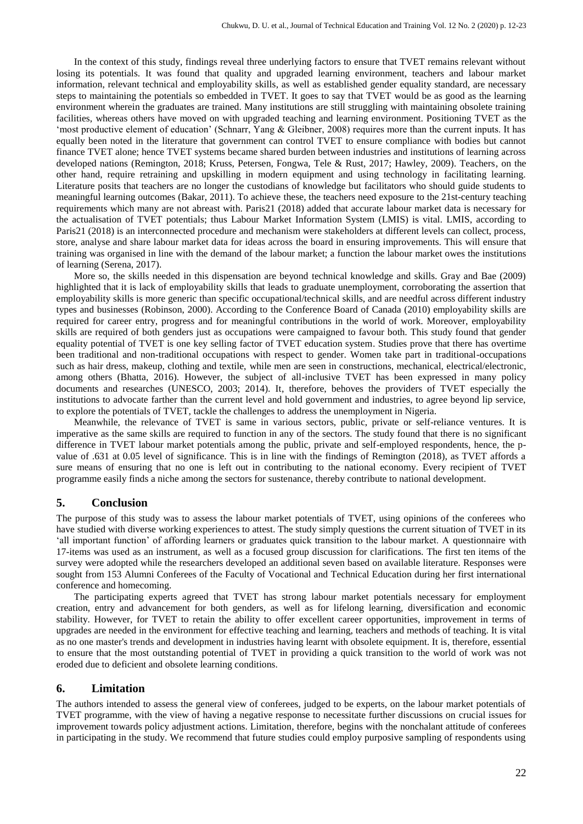In the context of this study, findings reveal three underlying factors to ensure that TVET remains relevant without losing its potentials. It was found that quality and upgraded learning environment, teachers and labour market information, relevant technical and employability skills, as well as established gender equality standard, are necessary steps to maintaining the potentials so embedded in TVET. It goes to say that TVET would be as good as the learning environment wherein the graduates are trained. Many institutions are still struggling with maintaining obsolete training facilities, whereas others have moved on with upgraded teaching and learning environment. Positioning TVET as the 'most productive element of education' (Schnarr, Yang & Gleibner, 2008) requires more than the current inputs. It has equally been noted in the literature that government can control TVET to ensure compliance with bodies but cannot finance TVET alone; hence TVET systems became shared burden between industries and institutions of learning across developed nations (Remington, 2018; Kruss, Petersen, Fongwa, Tele & Rust, 2017; Hawley, 2009). Teachers, on the other hand, require retraining and upskilling in modern equipment and using technology in facilitating learning. Literature posits that teachers are no longer the custodians of knowledge but facilitators who should guide students to meaningful learning outcomes (Bakar, 2011). To achieve these, the teachers need exposure to the 21st-century teaching requirements which many are not abreast with. Paris21 (2018) added that accurate labour market data is necessary for the actualisation of TVET potentials; thus Labour Market Information System (LMIS) is vital. LMIS, according to Paris21 (2018) is an interconnected procedure and mechanism were stakeholders at different levels can collect, process, store, analyse and share labour market data for ideas across the board in ensuring improvements. This will ensure that training was organised in line with the demand of the labour market; a function the labour market owes the institutions of learning (Serena, 2017).

More so, the skills needed in this dispensation are beyond technical knowledge and skills. Gray and Bae (2009) highlighted that it is lack of employability skills that leads to graduate unemployment, corroborating the assertion that employability skills is more generic than specific occupational/technical skills, and are needful across different industry types and businesses (Robinson, 2000). According to the Conference Board of Canada (2010) employability skills are required for career entry, progress and for meaningful contributions in the world of work. Moreover, employability skills are required of both genders just as occupations were campaigned to favour both. This study found that gender equality potential of TVET is one key selling factor of TVET education system. Studies prove that there has overtime been traditional and non-traditional occupations with respect to gender. Women take part in traditional-occupations such as hair dress, makeup, clothing and textile, while men are seen in constructions, mechanical, electrical/electronic, among others (Bhatta, 2016). However, the subject of all-inclusive TVET has been expressed in many policy documents and researches (UNESCO, 2003; 2014). It, therefore, behoves the providers of TVET especially the institutions to advocate farther than the current level and hold government and industries, to agree beyond lip service, to explore the potentials of TVET, tackle the challenges to address the unemployment in Nigeria.

Meanwhile, the relevance of TVET is same in various sectors, public, private or self-reliance ventures. It is imperative as the same skills are required to function in any of the sectors. The study found that there is no significant difference in TVET labour market potentials among the public, private and self-employed respondents, hence, the pvalue of .631 at 0.05 level of significance. This is in line with the findings of Remington (2018), as TVET affords a sure means of ensuring that no one is left out in contributing to the national economy. Every recipient of TVET programme easily finds a niche among the sectors for sustenance, thereby contribute to national development.

#### **5. Conclusion**

The purpose of this study was to assess the labour market potentials of TVET, using opinions of the conferees who have studied with diverse working experiences to attest. The study simply questions the current situation of TVET in its 'all important function' of affording learners or graduates quick transition to the labour market. A questionnaire with 17-items was used as an instrument, as well as a focused group discussion for clarifications. The first ten items of the survey were adopted while the researchers developed an additional seven based on available literature. Responses were sought from 153 Alumni Conferees of the Faculty of Vocational and Technical Education during her first international conference and homecoming.

The participating experts agreed that TVET has strong labour market potentials necessary for employment creation, entry and advancement for both genders, as well as for lifelong learning, diversification and economic stability. However, for TVET to retain the ability to offer excellent career opportunities, improvement in terms of upgrades are needed in the environment for effective teaching and learning, teachers and methods of teaching. It is vital as no one master's trends and development in industries having learnt with obsolete equipment. It is, therefore, essential to ensure that the most outstanding potential of TVET in providing a quick transition to the world of work was not eroded due to deficient and obsolete learning conditions.

#### **6. Limitation**

The authors intended to assess the general view of conferees, judged to be experts, on the labour market potentials of TVET programme, with the view of having a negative response to necessitate further discussions on crucial issues for improvement towards policy adjustment actions. Limitation, therefore, begins with the nonchalant attitude of conferees in participating in the study. We recommend that future studies could employ purposive sampling of respondents using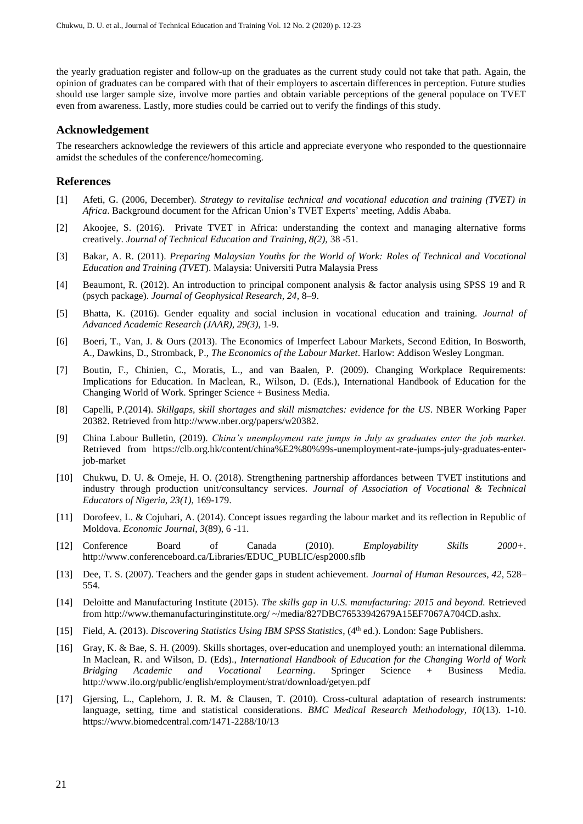the yearly graduation register and follow-up on the graduates as the current study could not take that path. Again, the opinion of graduates can be compared with that of their employers to ascertain differences in perception. Future studies should use larger sample size, involve more parties and obtain variable perceptions of the general populace on TVET even from awareness. Lastly, more studies could be carried out to verify the findings of this study.

#### **Acknowledgement**

The researchers acknowledge the reviewers of this article and appreciate everyone who responded to the questionnaire amidst the schedules of the conference/homecoming.

#### **References**

- [1] Afeti, G. (2006, December). *Strategy to revitalise technical and vocational education and training (TVET) in Africa*. Background document for the African Union's TVET Experts' meeting, Addis Ababa.
- [2] Akoojee, S. (2016). Private TVET in Africa: understanding the context and managing alternative forms creatively. *Journal of Technical Education and Training, 8(2),* 38 -51.
- [3] Bakar, A. R. (2011). *Preparing Malaysian Youths for the World of Work: Roles of Technical and Vocational Education and Training (TVET*). Malaysia: Universiti Putra Malaysia Press
- [4] Beaumont, R. (2012). An introduction to principal component analysis & factor analysis using SPSS 19 and R (psych package). *Journal of Geophysical Research, 24*, 8–9.
- [5] Bhatta, K. (2016). Gender equality and social inclusion in vocational education and training. *Journal of Advanced Academic Research (JAAR), 29(3),* 1-9.
- [6] Boeri, T., Van, J. & Ours (2013). The Economics of Imperfect Labour Markets, Second Edition, In Bosworth, A., Dawkins, D., Stromback, P., *The Economics of the Labour Market*. Harlow: Addison Wesley Longman.
- [7] Boutin, F., Chinien, C., Moratis, L., and van Baalen, P. (2009). Changing Workplace Requirements: Implications for Education. In Maclean, R., Wilson, D. (Eds.), International Handbook of Education for the Changing World of Work. Springer Science + Business Media.
- [8] Capelli, P.(2014). *Skillgaps, skill shortages and skill mismatches: evidence for the US*. NBER Working Paper 20382. Retrieved from http://www.nber.org/papers/w20382.
- [9] China Labour Bulletin, (2019). *China's unemployment rate jumps in July as graduates enter the job market.* Retrieved from [https://clb.org.hk/content/china%E2%80%99s-unemployment-rate-jumps-july-graduates-enter](https://clb.org.hk/content/china%E2%80%99s-unemployment-rate-jumps-july-graduates-enter-job-market)[job-market](https://clb.org.hk/content/china%E2%80%99s-unemployment-rate-jumps-july-graduates-enter-job-market)
- [10] Chukwu, D. U. & Omeje, H. O. (2018). Strengthening partnership affordances between TVET institutions and industry through production unit/consultancy services. *Journal of Association of Vocational & Technical Educators of Nigeria, 23(1),* 169-179.
- [11] Dorofeev, L. & Cojuhari, A. (2014). Concept issues regarding the labour market and its reflection in Republic of Moldova. *Economic Journal, 3*(89), 6 -11.
- [12] Conference Board of Canada (2010). *Employability Skills 2000+*. [http://www.conferenceboard.ca/Libraries/EDUC\\_PUBLIC/esp2000.sflb](http://www.conferenceboard.ca/Libraries/EDUC_PUBLIC/esp2000.sflb)
- [13] Dee, T. S. (2007). Teachers and the gender gaps in student achievement. *Journal of Human Resources, 42*, 528– 554.
- [14] Deloitte and Manufacturing Institute (2015). *The skills gap in U.S. manufacturing: 2015 and beyond.* Retrieved from http://www.themanufacturinginstitute.org/ ~/media/827DBC76533942679A15EF7067A704CD.ashx.
- [15] Field, A. (2013). *Discovering Statistics Using IBM SPSS Statistics*, (4th ed.). London: Sage Publishers.
- [16] Gray, K. & Bae, S. H. (2009). Skills shortages, over-education and unemployed youth: an international dilemma. In Maclean, R. and Wilson, D. (Eds)., *International Handbook of Education for the Changing World of Work Bridging Academic and Vocational Learning*. Springer Science + Business Media. <http://www.ilo.org/public/english/employment/strat/download/getyen.pdf>
- [17] Gjersing, L., Caplehorn, J. R. M. & Clausen, T. (2010). Cross-cultural adaptation of research instruments: language, setting, time and statistical considerations. *BMC Medical Research Methodology, 10*(13). 1-10. https://www.biomedcentral.com/1471-2288/10/13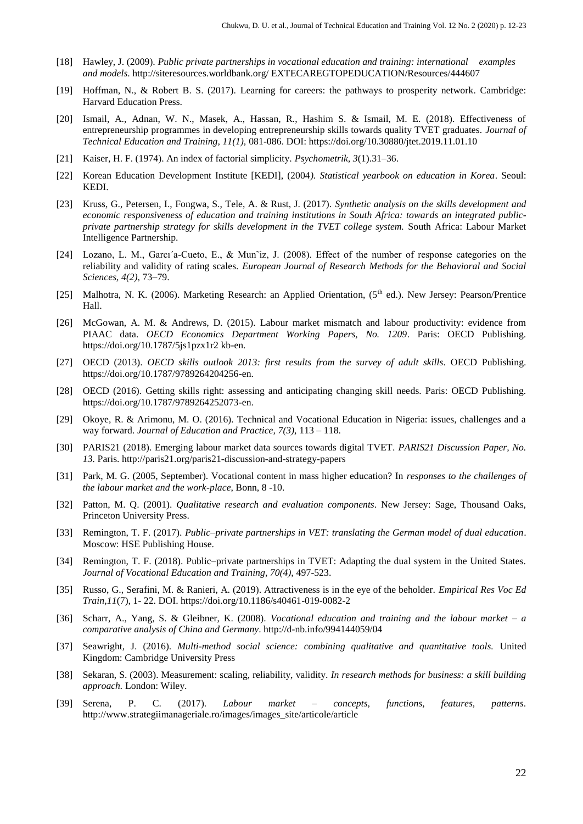- [18] Hawley, J. (2009). *Public private partnerships in vocational education and training: international examples and models*. http://siteresources.worldbank.org/ EXTECAREGTOPEDUCATION/Resources/444607
- [19] Hoffman, N., & Robert B. S. (2017). Learning for careers: the pathways to prosperity network. Cambridge: Harvard Education Press.
- [20] Ismail, A., Adnan, W. N., Masek, A., Hassan, R., Hashim S. & Ismail, M. E. (2018). Effectiveness of entrepreneurship programmes in developing entrepreneurship skills towards quality TVET graduates. *Journal of Technical Education and Training, 11(1),* 081-086. DOI[: https://doi.org/10.30880/jtet.2019.11.01.10](https://doi.org/10.30880/jtet.2019.11.01.10)
- [21] Kaiser, H. F. (1974). An index of factorial simplicity. *Psychometrik, 3*(1).31–36.
- [22] Korean Education Development Institute [KEDI], (2004*). Statistical yearbook on education in Korea*. Seoul: KEDI.
- [23] Kruss, G., Petersen, I., Fongwa, S., Tele, A. & Rust, J. (2017). *Synthetic analysis on the skills development and economic responsiveness of education and training institutions in South Africa: towards an integrated publicprivate partnership strategy for skills development in the TVET college system.* South Africa: Labour Market Intelligence Partnership.
- [24] Lozano, L. M., Garcı´a-Cueto, E., & Mun˜iz, J. (2008). Effect of the number of response categories on the reliability and validity of rating scales. *European Journal of Research Methods for the Behavioral and Social Sciences, 4(2),* 73–79.
- [25] Malhotra, N. K. (2006). Marketing Research: an Applied Orientation, (5<sup>th</sup> ed.). New Jersey: Pearson/Prentice Hall.
- [26] McGowan, A. M. & Andrews, D. (2015). Labour market mismatch and labour productivity: evidence from PIAAC data. *OECD Economics Department Working Papers, No. 1209*. Paris: OECD Publishing. https://doi.org/10.1787/5js1pzx1r2 kb-en.
- [27] OECD (2013). *OECD skills outlook 2013: first results from the survey of adult skills.* OECD Publishing. [https://doi.org/10.1787/9789264204256-en.](https://doi.org/10.1787/9789264204256-en)
- [28] OECD (2016). Getting skills right: assessing and anticipating changing skill needs. Paris: OECD Publishing. [https://doi.org/10.1787/9789264252073-en.](https://doi.org/10.1787/9789264252073-en)
- [29] Okoye, R. & Arimonu, M. O. (2016). Technical and Vocational Education in Nigeria: issues, challenges and a way forward. *Journal of Education and Practice, 7(3),* 113 – 118.
- [30] PARIS21 (2018). Emerging labour market data sources towards digital TVET. *PARIS21 Discussion Paper, No. 13.* Paris[. http://paris21.org/paris21-discussion-and-strategy-papers](http://paris21.org/paris21-discussion-and-strategy-papers)
- [31] Park, M. G. (2005, September). Vocational content in mass higher education? In *responses to the challenges of the labour market and the work-place*, Bonn, 8 -10.
- [32] Patton, M. Q. (2001). *Qualitative research and evaluation components*. New Jersey: Sage, Thousand Oaks, Princeton University Press.
- [33] Remington, T. F. (2017). *Public–private partnerships in VET: translating the German model of dual education*. Moscow: HSE Publishing House.
- [34] Remington, T. F. (2018). Public–private partnerships in TVET: Adapting the dual system in the United States. *Journal of Vocational Education and Training, 70(4),* 497-523.
- [35] Russo, G., Serafini, M. & Ranieri, A. (2019). Attractiveness is in the eye of the beholder. *Empirical Res Voc Ed Train,11*(7), 1- 22. DOI[. https://doi.org/10.1186/s40461-019-0082-2](https://doi.org/10.1186/s40461-019-0082-2)
- [36] Scharr, A., Yang, S. & Gleibner, K. (2008). *Vocational education and training and the labour market – a comparative analysis of China and Germany*[. http://d-nb.info/994144059/04](http://d-nb.info/994144059/04)
- [37] Seawright, J. (2016). *Multi-method social science: combining qualitative and quantitative tools.* United Kingdom: Cambridge University Press
- [38] Sekaran, S. (2003). Measurement: scaling, reliability, validity. *In research methods for business: a skill building approach.* London: Wiley.
- [39] Serena, P. C. (2017). *Labour market – concepts, functions, features, patterns*. http://www.strategiimanageriale.ro/images/images\_site/articole/article